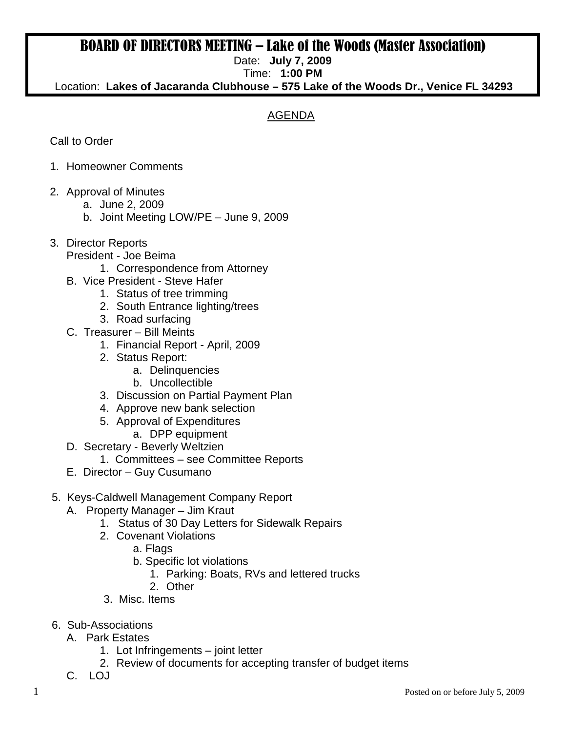## BOARD OF DIRECTORS MEETING – Lake of the Woods (Master Association)

Date: **July 7, 2009**

Time: **1:00 PM** 

Location: **Lakes of Jacaranda Clubhouse – 575 Lake of the Woods Dr., Venice FL 34293**

## AGENDA

Call to Order

- 1. Homeowner Comments
- 2. Approval of Minutes
	- a. June 2, 2009
		- b. Joint Meeting LOW/PE June 9, 2009
- 3. Director Reports
	- President Joe Beima
		- 1. Correspondence from Attorney
	- B. Vice President Steve Hafer
		- 1. Status of tree trimming
		- 2. South Entrance lighting/trees
		- 3. Road surfacing
	- C. Treasurer Bill Meints
		- 1. Financial Report April, 2009
		- 2. Status Report:
			- a. Delinquencies
			- b. Uncollectible
		- 3. Discussion on Partial Payment Plan
		- 4. Approve new bank selection
		- 5. Approval of Expenditures
			- a. DPP equipment
	- D. Secretary Beverly Weltzien
		- 1. Committees see Committee Reports
	- E. Director Guy Cusumano
- 5. Keys-Caldwell Management Company Report
	- A. Property Manager Jim Kraut
		- 1. Status of 30 Day Letters for Sidewalk Repairs
		- 2. Covenant Violations
			- a. Flags
			- b. Specific lot violations
				- 1. Parking: Boats, RVs and lettered trucks
			- 2. Other
		- 3. Misc. Items
- 6. Sub-Associations
	- A. Park Estates
		- 1. Lot Infringements joint letter
		- 2. Review of documents for accepting transfer of budget items
	- C. LOJ